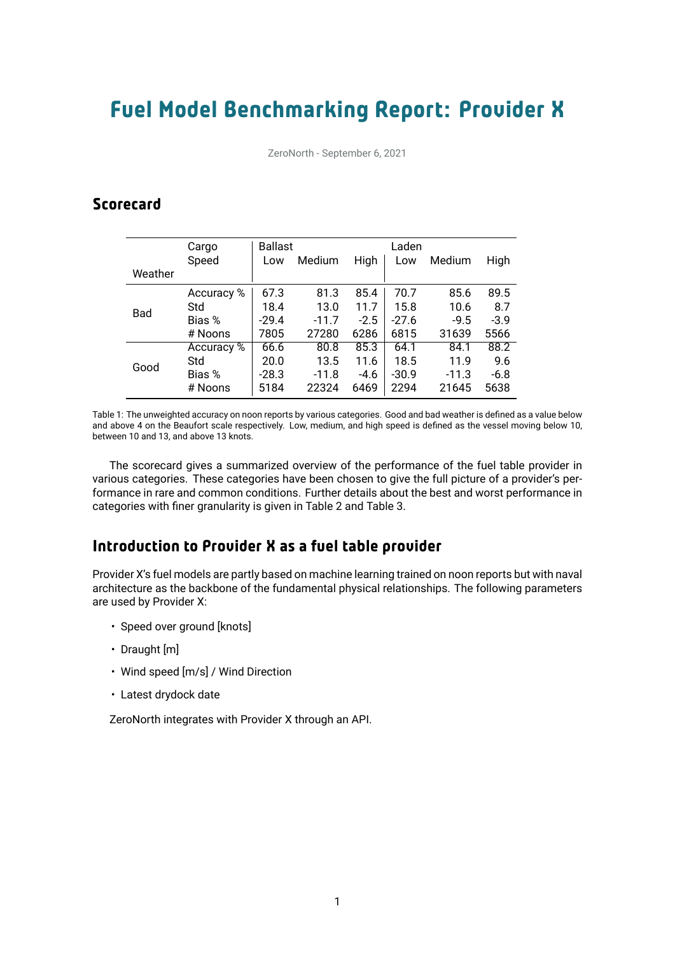# Fuel Model Benchmarking Report: Provider X

ZeroNorth - September 6, 2021

# **Scorecard**

|            | Cargo      | <b>Ballast</b> |         |        | Laden   |         |        |
|------------|------------|----------------|---------|--------|---------|---------|--------|
|            | Speed      | Low            | Medium  | High   | Low     | Medium  | High   |
| Weather    |            |                |         |        |         |         |        |
| <b>Bad</b> | Accuracy % | 67.3           | 81.3    | 85.4   | 70.7    | 85.6    | 89.5   |
|            | Std        | 18.4           | 13.0    | 11.7   | 15.8    | 10.6    | 8.7    |
|            | Bias %     | $-29.4$        | $-11.7$ | $-2.5$ | $-27.6$ | $-9.5$  | $-3.9$ |
|            | # Noons    | 7805           | 27280   | 6286   | 6815    | 31639   | 5566   |
| Good       | Accuracy % | 66.6           | 80.8    | 85.3   | 64.1    | 84.1    | 88.2   |
|            | Std        | 20.0           | 13.5    | 11.6   | 18.5    | 11.9    | 9.6    |
|            | Bias %     | $-28.3$        | $-11.8$ | $-4.6$ | $-30.9$ | $-11.3$ | $-6.8$ |
|            | # Noons    | 5184           | 22324   | 6469   | 2294    | 21645   | 5638   |

Table 1: The unweighted accuracy on noon reports by various categories. Good and bad weather is defined as a value below and above 4 on the Beaufort scale respectively. Low, medium, and high speed is defined as the vessel moving below 10, between 10 and 13, and above 13 knots.

The scorecard gives a summarized overview of the performance of the fuel table provider in various categories. These categories have been chosen to give the full picture of a provider's performance in rare and common conditions. Further details about the best and worst performance in categories with finer granularity is given in Table 2 and Table 3.

## Introduction to Provider X as a fuel table provider

Provider X's fuel models are partly based on machine learning trained on noon reports but with naval architecture as the backbone of the fundamental physical relationships. The following parameters are used by Provider X:

- Speed over ground [knots]
- Draught [m]
- Wind speed [m/s] / Wind Direction
- Latest drydock date

ZeroNorth integrates with Provider X through an API.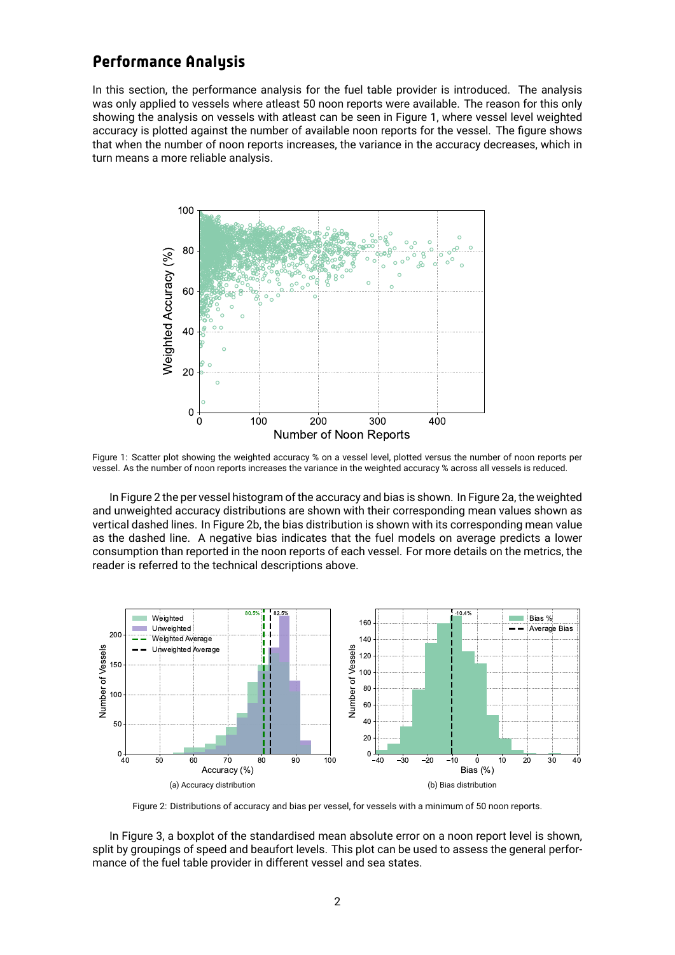### Performance Analysis

In this section, the performance analysis for the fuel table provider is introduced. The analysis was only applied to vessels where atleast 50 noon reports were available. The reason for this only showing the analysis on vessels with atleast can be seen in Figure 1, where vessel level weighted accuracy is plotted against the number of available noon reports for the vessel. The figure shows that when the number of noon reports increases, the variance in the accuracy decreases, which in turn means a more reliable analysis.



Figure 1: Scatter plot showing the weighted accuracy % on a vessel level, plotted versus the number of noon reports per vessel. As the number of noon reports increases the variance in the weighted accuracy % across all vessels is reduced.

In Figure 2 the per vessel histogram of the accuracy and bias is shown. In Figure 2a, the weighted and unweighted accuracy distributions are shown with their corresponding mean values shown as vertical dashed lines. In Figure 2b, the bias distribution is shown with its corresponding mean value as the dashed line. A negative bias indicates that the fuel models on average predicts a lower consumption than reported in the noon reports of each vessel. For more details on the metrics, the reader is referred to the technical descriptions above.



Figure 2: Distributions of accuracy and bias per vessel, for vessels with a minimum of 50 noon reports.

In Figure 3, a boxplot of the standardised mean absolute error on a noon report level is shown, split by groupings of speed and beaufort levels. This plot can be used to assess the general performance of the fuel table provider in different vessel and sea states.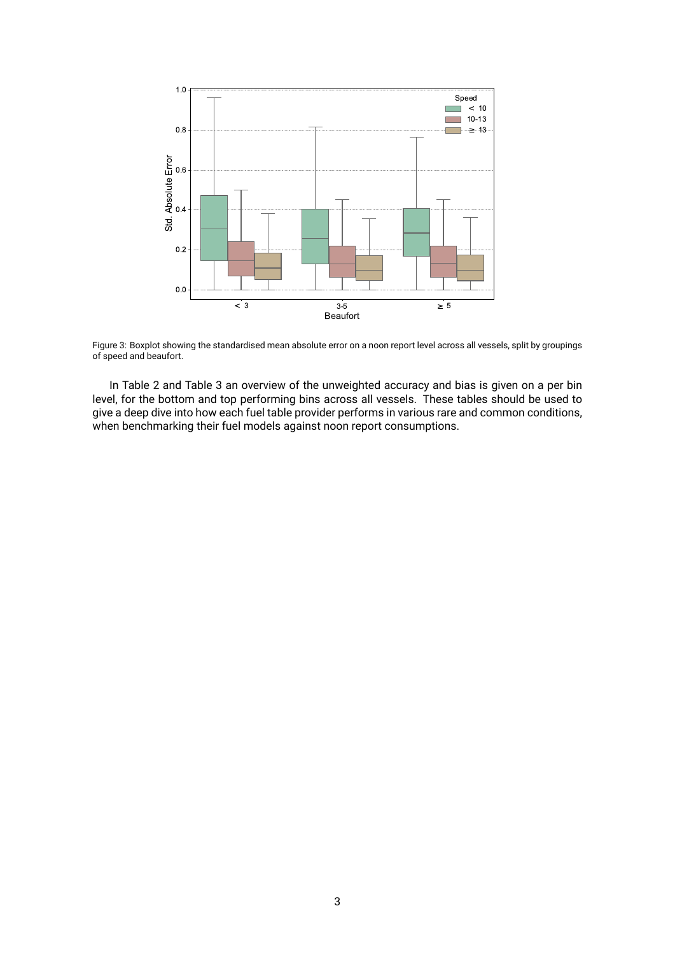

Figure 3: Boxplot showing the standardised mean absolute error on a noon report level across all vessels, split by groupings of speed and beaufort.

In Table 2 and Table 3 an overview of the unweighted accuracy and bias is given on a per bin level, for the bottom and top performing bins across all vessels. These tables should be used to give a deep dive into how each fuel table provider performs in various rare and common conditions, when benchmarking their fuel models against noon report consumptions.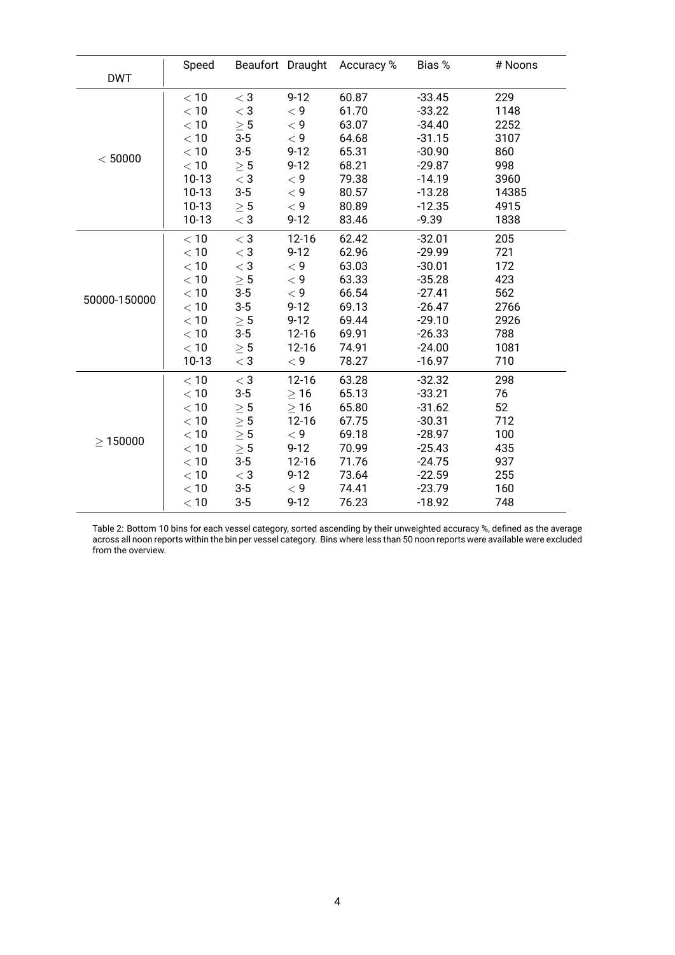|               | Speed   |               |           | Beaufort Draught Accuracy % | Bias %   | # Noons |
|---------------|---------|---------------|-----------|-----------------------------|----------|---------|
| <b>DWT</b>    |         |               |           |                             |          |         |
| < 50000       | $<10$   | $<$ 3         | $9 - 12$  | 60.87                       | $-33.45$ | 229     |
|               | < 10    | $<$ 3         | < 9       | 61.70                       | $-33.22$ | 1148    |
|               | $<10$   | $\geq 5$      | < 9       | 63.07                       | $-34.40$ | 2252    |
|               | < 10    | $3-5$         | < 9       | 64.68                       | $-31.15$ | 3107    |
|               | $<10$   | $3-5$         | $9 - 12$  | 65.31                       | $-30.90$ | 860     |
|               | < 10    | $\geq 5$      | $9 - 12$  | 68.21                       | $-29.87$ | 998     |
|               | $10-13$ | $<$ 3         | < 9       | 79.38                       | $-14.19$ | 3960    |
|               | $10-13$ | $3-5$         | < 9       | 80.57                       | $-13.28$ | 14385   |
|               | $10-13$ | $\geq 5$      | < 9       | 80.89                       | $-12.35$ | 4915    |
|               | $10-13$ | $<$ 3         | $9 - 12$  | 83.46                       | $-9.39$  | 1838    |
|               | < 10    | $<$ 3         | $12 - 16$ | 62.42                       | $-32.01$ | 205     |
|               | < 10    | $<$ 3         | $9 - 12$  | 62.96                       | $-29.99$ | 721     |
|               | $<10$   | $<$ 3         | < 9       | 63.03                       | $-30.01$ | 172     |
|               | < 10    | $\geq 5$      | < 9       | 63.33                       | $-35.28$ | 423     |
| 50000-150000  | $<10$   | $3-5$         | < 9       | 66.54                       | $-27.41$ | 562     |
|               | < 10    | $3-5$         | $9 - 12$  | 69.13                       | $-26.47$ | 2766    |
|               | $<10$   | $\geq 5$      | $9 - 12$  | 69.44                       | $-29.10$ | 2926    |
|               | < 10    | $3-5$         | $12 - 16$ | 69.91                       | $-26.33$ | 788     |
|               | $<10\,$ | $\geq 5$      | $12 - 16$ | 74.91                       | $-24.00$ | 1081    |
|               | $10-13$ | $<$ 3         | $<$ 9     | 78.27                       | $-16.97$ | 710     |
| $\geq 150000$ | < 10    | $<$ 3         | $12 - 16$ | 63.28                       | $-32.32$ | 298     |
|               | < 10    | $3-5$         | $\geq 16$ | 65.13                       | $-33.21$ | 76      |
|               | < 10    | $\geq 5$      | $\geq 16$ | 65.80                       | $-31.62$ | 52      |
|               | $<10\,$ | $\geq 5$      | $12 - 16$ | 67.75                       | $-30.31$ | 712     |
|               | < 10    | $\geq 5$      | < 9       | 69.18                       | $-28.97$ | 100     |
|               | < 10    | $\geq 5$      | $9 - 12$  | 70.99                       | $-25.43$ | 435     |
|               | < 10    | $3-5$         | $12 - 16$ | 71.76                       | $-24.75$ | 937     |
|               | $<10$   | $<\mathsf{3}$ | $9 - 12$  | 73.64                       | $-22.59$ | 255     |
|               | < 10    | $3-5$         | < 9       | 74.41                       | $-23.79$ | 160     |
|               | < 10    | $3-5$         | $9 - 12$  | 76.23                       | $-18.92$ | 748     |

Table 2: Bottom 10 bins for each vessel category, sorted ascending by their unweighted accuracy %, defined as the average across all noon reports within the bin per vessel category. Bins where less than 50 noon reports were available were excluded from the overview.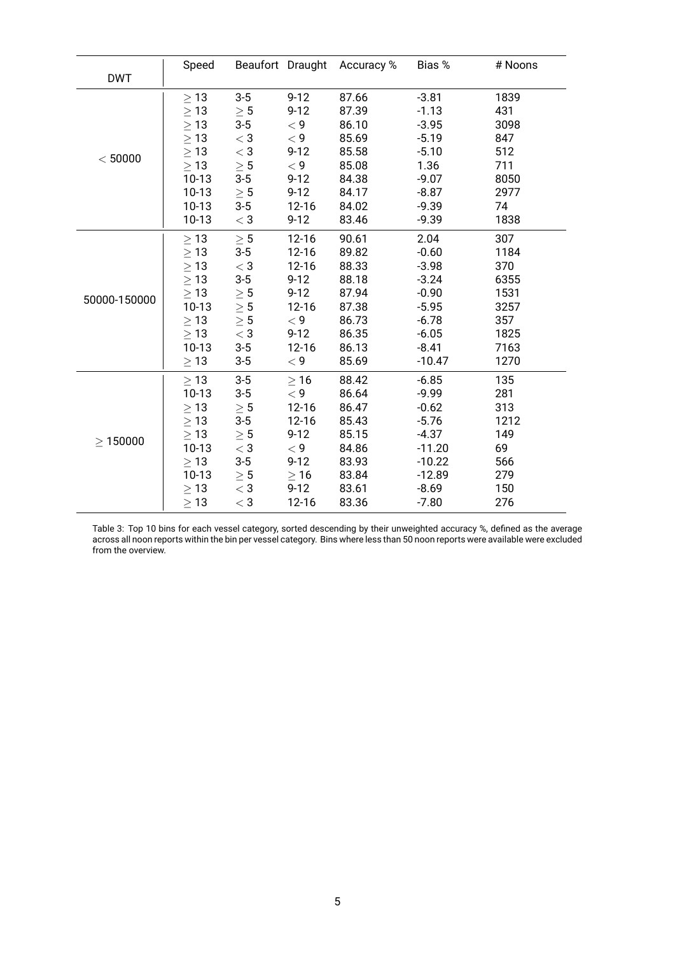|               | Speed     |               |           | Beaufort Draught Accuracy % | Bias %   | # Noons |
|---------------|-----------|---------------|-----------|-----------------------------|----------|---------|
| <b>DWT</b>    |           |               |           |                             |          |         |
| < 50000       | $\geq 13$ | $3-5$         | $9 - 12$  | 87.66                       | $-3.81$  | 1839    |
|               | $\geq$ 13 | $\geq 5$      | $9 - 12$  | 87.39                       | $-1.13$  | 431     |
|               | $\geq$ 13 | $3 - 5$       | $<$ 9     | 86.10                       | $-3.95$  | 3098    |
|               | $\geq$ 13 | $<\mathsf{3}$ | < 9       | 85.69                       | $-5.19$  | 847     |
|               | $\geq$ 13 | $\rm <3$      | $9 - 12$  | 85.58                       | $-5.10$  | 512     |
|               | $\geq$ 13 | $\geq 5$      | $<$ 9     | 85.08                       | 1.36     | 711     |
|               | $10-13$   | $3-5$         | $9 - 12$  | 84.38                       | $-9.07$  | 8050    |
|               | $10-13$   | $\geq 5$      | $9 - 12$  | 84.17                       | $-8.87$  | 2977    |
|               | $10-13$   | $3-5$         | $12 - 16$ | 84.02                       | $-9.39$  | 74      |
|               | $10-13$   | $<$ 3         | $9 - 12$  | 83.46                       | $-9.39$  | 1838    |
|               | $\geq 13$ | $\geq 5$      | $12 - 16$ | 90.61                       | 2.04     | 307     |
|               | $\geq 13$ | $3-5$         | $12 - 16$ | 89.82                       | $-0.60$  | 1184    |
|               | $\geq$ 13 | $<$ 3         | $12 - 16$ | 88.33                       | $-3.98$  | 370     |
|               | $\geq$ 13 | $3-5$         | $9 - 12$  | 88.18                       | $-3.24$  | 6355    |
| 50000-150000  | $\geq$ 13 | $\geq 5$      | $9 - 12$  | 87.94                       | $-0.90$  | 1531    |
|               | $10-13$   | $\geq 5$      | $12 - 16$ | 87.38                       | $-5.95$  | 3257    |
|               | $\geq$ 13 | $\geq 5$      | $<$ 9     | 86.73                       | $-6.78$  | 357     |
|               | $\geq 13$ | $<$ 3         | $9 - 12$  | 86.35                       | $-6.05$  | 1825    |
|               | $10-13$   | $3-5$         | $12 - 16$ | 86.13                       | $-8.41$  | 7163    |
|               | $\geq$ 13 | $3-5$         | < 9       | 85.69                       | $-10.47$ | 1270    |
| $\geq 150000$ | $\geq 13$ | $3-5$         | $\geq 16$ | 88.42                       | $-6.85$  | 135     |
|               | $10-13$   | $3-5$         | $<$ 9     | 86.64                       | $-9.99$  | 281     |
|               | $\geq$ 13 | $\geq 5$      | $12 - 16$ | 86.47                       | $-0.62$  | 313     |
|               | $\geq$ 13 | $3-5$         | $12 - 16$ | 85.43                       | $-5.76$  | 1212    |
|               | $\geq$ 13 | $\geq 5$      | $9 - 12$  | 85.15                       | $-4.37$  | 149     |
|               | $10-13$   | $<$ 3         | $<$ 9     | 84.86                       | $-11.20$ | 69      |
|               | $\geq 13$ | $3-5$         | $9 - 12$  | 83.93                       | $-10.22$ | 566     |
|               | $10-13$   | $\geq 5$      | $\geq 16$ | 83.84                       | $-12.89$ | 279     |
|               | $\geq 13$ | $<$ 3         | $9 - 12$  | 83.61                       | $-8.69$  | 150     |
|               | $\geq 13$ | $<$ 3         | $12 - 16$ | 83.36                       | $-7.80$  | 276     |

Table 3: Top 10 bins for each vessel category, sorted descending by their unweighted accuracy %, defined as the average across all noon reports within the bin per vessel category. Bins where less than 50 noon reports were available were excluded from the overview.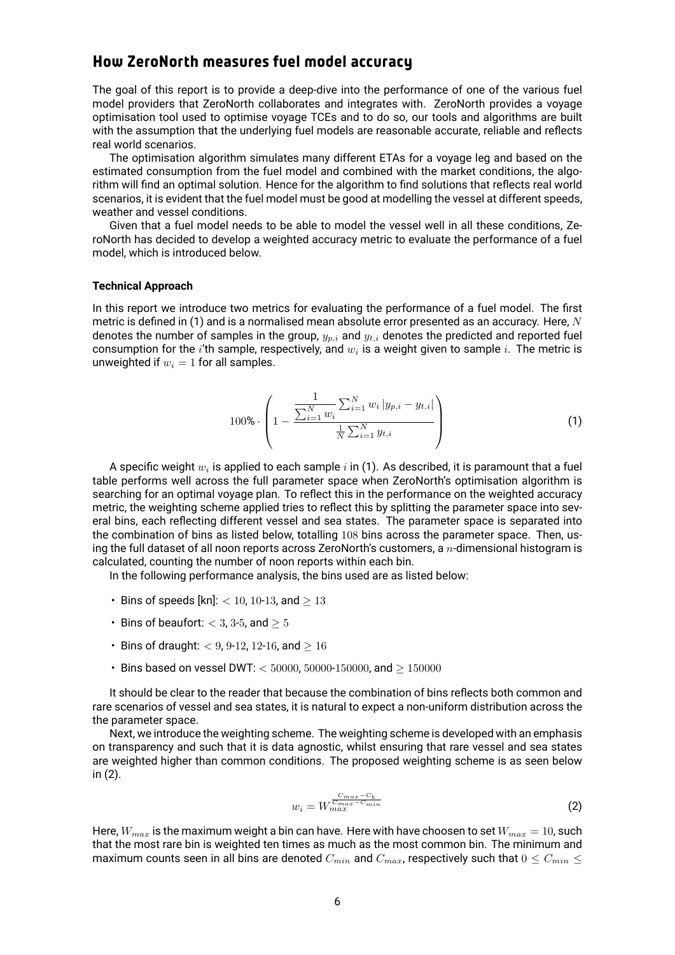#### How ZeroNorth measures fuel model accuracy

The goal of this report is to provide a deep-dive into the performance of one of the various fuel model providers that ZeroNorth collaborates and integrates with. ZeroNorth provides a voyage optimisation tool used to optimise voyage TCEs and to do so, our tools and algorithms are built with the assumption that the underlying fuel models are reasonable accurate, reliable and reflects real world scenarios.

The optimisation algorithm simulates many different ETAs for a voyage leg and based on the estimated consumption from the fuel model and combined with the market conditions, the algorithm will find an optimal solution. Hence for the algorithm to find solutions that reflects real world scenarios, it is evident that the fuel model must be good at modelling the vessel at different speeds, weather and vessel conditions.

Given that a fuel model needs to be able to model the vessel well in all these conditions, ZeroNorth has decided to develop a weighted accuracy metric to evaluate the performance of a fuel model, which is introduced below.

#### **Technical Approach**

In this report we introduce two metrics for evaluating the performance of a fuel model. The first metric is defined in (1) and is a normalised mean absolute error presented as an accuracy. Here, *N* denotes the number of samples in the group, *yp,i* and *yt,i* denotes the predicted and reported fuel consumption for the  $i$ 'th sample, respectively, and  $w_i$  is a weight given to sample  $i.$  The metric is unweighted if  $w_i = 1$  for all samples.

100% 
$$
\cdot \left(1 - \frac{\frac{1}{\sum_{i=1}^{N} w_i} \sum_{i=1}^{N} w_i |y_{p,i} - y_{t,i}|}{\frac{1}{N} \sum_{i=1}^{N} y_{t,i}}\right)
$$
(1)

A specific weight  $w_i$  is applied to each sample  $i$  in (1). As described, it is paramount that a fuel table performs well across the full parameter space when ZeroNorth's optimisation algorithm is searching for an optimal voyage plan. To reflect this in the performance on the weighted accuracy metric, the weighting scheme applied tries to reflect this by splitting the parameter space into several bins, each reflecting different vessel and sea states. The parameter space is separated into the combination of bins as listed below, totalling 108 bins across the parameter space. Then, using the full dataset of all noon reports across ZeroNorth's customers, a *n*-dimensional histogram is calculated, counting the number of noon reports within each bin.

In the following performance analysis, the bins used are as listed below:

- Bins of speeds [kn]: *<* 10, 10-13, and *≥* 13
- Bins of beaufort: *<* 3, 3-5, and *≥* 5
- Bins of draught: *<* 9, 9-12, 12-16, and *≥* 16
- Bins based on vessel DWT: *<* 50000, 50000-150000, and *≥* 150000

It should be clear to the reader that because the combination of bins reflects both common and rare scenarios of vessel and sea states, it is natural to expect a non-uniform distribution across the the parameter space.

Next, we introduce the weighting scheme. The weighting scheme is developed with an emphasis on transparency and such that it is data agnostic, whilst ensuring that rare vessel and sea states are weighted higher than common conditions. The proposed weighting scheme is as seen below in (2).

$$
w_i = W_{max}^{\frac{C_{max} - C_b}{C_{max} - C_{min}}} \tag{2}
$$

Here,  $W_{max}$  is the maximum weight a bin can have. Here with have choosen to set  $W_{max} = 10$ , such that the most rare bin is weighted ten times as much as the most common bin. The minimum and maximum counts seen in all bins are denoted  $C_{min}$  and  $C_{max}$ , respectively such that  $0 \leq C_{min} \leq$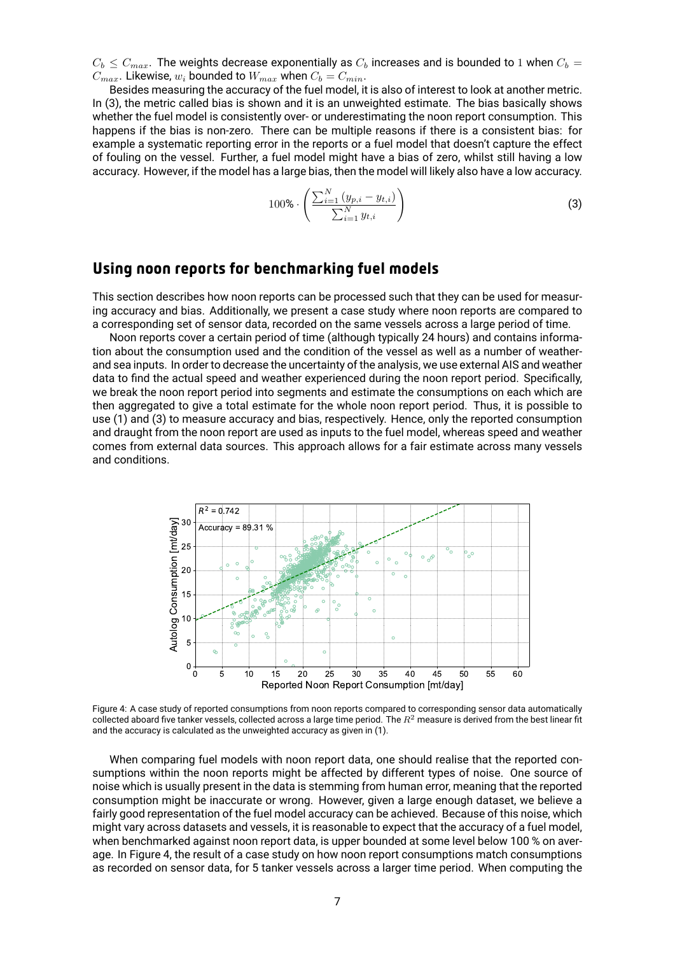$C_b < C_{max}$ . The weights decrease exponentially as  $C_b$  increases and is bounded to 1 when  $C_b$  = *C*<sub>max</sub>. Likewise,  $w_i$  bounded to  $W_{max}$  when  $C_b = C_{min}$ .

Besides measuring the accuracy of the fuel model, it is also of interest to look at another metric. In (3), the metric called bias is shown and it is an unweighted estimate. The bias basically shows whether the fuel model is consistently over- or underestimating the noon report consumption. This happens if the bias is non-zero. There can be multiple reasons if there is a consistent bias: for example a systematic reporting error in the reports or a fuel model that doesn't capture the effect of fouling on the vessel. Further, a fuel model might have a bias of zero, whilst still having a low accuracy. However, if the model has a large bias, then the model will likely also have a low accuracy.

$$
100\% \cdot \left( \frac{\sum_{i=1}^{N} (y_{p,i} - y_{t,i})}{\sum_{i=1}^{N} y_{t,i}} \right) \tag{3}
$$

#### Using noon reports for benchmarking fuel models

This section describes how noon reports can be processed such that they can be used for measuring accuracy and bias. Additionally, we present a case study where noon reports are compared to a corresponding set of sensor data, recorded on the same vessels across a large period of time.

Noon reports cover a certain period of time (although typically 24 hours) and contains information about the consumption used and the condition of the vessel as well as a number of weatherand sea inputs. In order to decrease the uncertainty of the analysis, we use external AIS and weather data to find the actual speed and weather experienced during the noon report period. Specifically, we break the noon report period into segments and estimate the consumptions on each which are then aggregated to give a total estimate for the whole noon report period. Thus, it is possible to use (1) and (3) to measure accuracy and bias, respectively. Hence, only the reported consumption and draught from the noon report are used as inputs to the fuel model, whereas speed and weather comes from external data sources. This approach allows for a fair estimate across many vessels and conditions.



Figure 4: A case study of reported consumptions from noon reports compared to corresponding sensor data automatically collected aboard five tanker vessels, collected across a large time period. The *R*<sup>2</sup> measure is derived from the best linear fit and the accuracy is calculated as the unweighted accuracy as given in (1).

When comparing fuel models with noon report data, one should realise that the reported consumptions within the noon reports might be affected by different types of noise. One source of noise which is usually present in the data is stemming from human error, meaning that the reported consumption might be inaccurate or wrong. However, given a large enough dataset, we believe a fairly good representation of the fuel model accuracy can be achieved. Because of this noise, which might vary across datasets and vessels, it is reasonable to expect that the accuracy of a fuel model, when benchmarked against noon report data, is upper bounded at some level below 100 % on average. In Figure 4, the result of a case study on how noon report consumptions match consumptions as recorded on sensor data, for 5 tanker vessels across a larger time period. When computing the